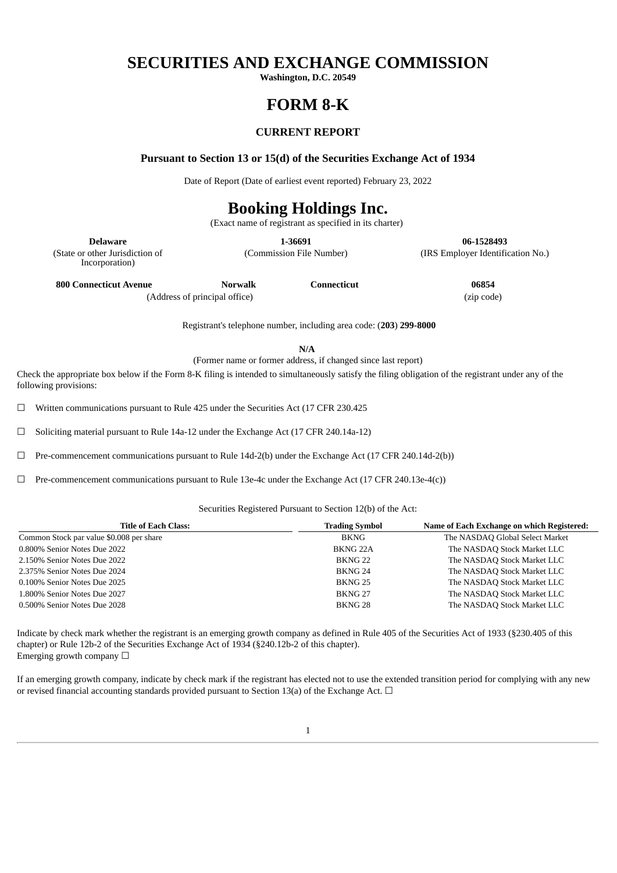# **SECURITIES AND EXCHANGE COMMISSION**

**Washington, D.C. 20549**

# **FORM 8-K**

# **CURRENT REPORT**

**Pursuant to Section 13 or 15(d) of the Securities Exchange Act of 1934**

Date of Report (Date of earliest event reported) February 23, 2022

# **Booking Holdings Inc.**

(Exact name of registrant as specified in its charter)

**Delaware 1-36691 06-1528493**

(Commission File Number) (IRS Employer Identification No.)

(State or other Jurisdiction of Incorporation)

**800 Connecticut Avenue Norwalk Connecticut 06854**

(Address of principal office) (zip code)

Registrant's telephone number, including area code: (**203**) **299-8000**

**N/A**

(Former name or former address, if changed since last report)

Check the appropriate box below if the Form 8-K filing is intended to simultaneously satisfy the filing obligation of the registrant under any of the following provisions:

 $\Box$  Written communications pursuant to Rule 425 under the Securities Act (17 CFR 230.425

☐ Soliciting material pursuant to Rule 14a-12 under the Exchange Act (17 CFR 240.14a-12)

 $\Box$  Pre-commencement communications pursuant to Rule 14d-2(b) under the Exchange Act (17 CFR 240.14d-2(b))

☐ Pre-commencement communications pursuant to Rule 13e-4c under the Exchange Act (17 CFR 240.13e-4(c))

#### Securities Registered Pursuant to Section 12(b) of the Act:

| <b>Title of Each Class:</b>              | <b>Trading Symbol</b> | Name of Each Exchange on which Registered: |
|------------------------------------------|-----------------------|--------------------------------------------|
| Common Stock par value \$0.008 per share | BKNG                  | The NASDAQ Global Select Market            |
| 0.800% Senior Notes Due 2022             | BKNG <sub>22A</sub>   | The NASDAQ Stock Market LLC                |
| 2.150% Senior Notes Due 2022             | BKNG <sub>22</sub>    | The NASDAQ Stock Market LLC                |
| 2.375% Senior Notes Due 2024             | BKNG 24               | The NASDAQ Stock Market LLC                |
| 0.100% Senior Notes Due 2025             | BKNG 25               | The NASDAQ Stock Market LLC                |
| 1.800% Senior Notes Due 2027             | BKNG <sub>27</sub>    | The NASDAQ Stock Market LLC                |
| 0.500% Senior Notes Due 2028             | BKNG <sub>28</sub>    | The NASDAQ Stock Market LLC                |

Indicate by check mark whether the registrant is an emerging growth company as defined in Rule 405 of the Securities Act of 1933 (§230.405 of this chapter) or Rule 12b-2 of the Securities Exchange Act of 1934 (§240.12b-2 of this chapter). Emerging growth company  $\Box$ 

If an emerging growth company, indicate by check mark if the registrant has elected not to use the extended transition period for complying with any new or revised financial accounting standards provided pursuant to Section 13(a) of the Exchange Act.  $\Box$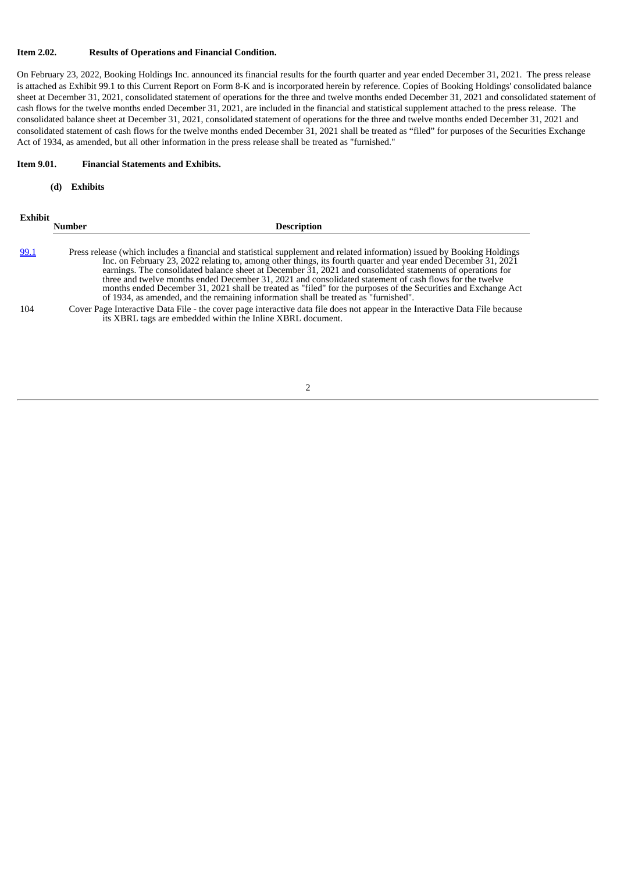#### **Item 2.02. Results of Operations and Financial Condition.**

On February 23, 2022, Booking Holdings Inc. announced its financial results for the fourth quarter and year ended December 31, 2021. The press release is attached as Exhibit 99.1 to this Current Report on Form 8-K and is incorporated herein by reference. Copies of Booking Holdings' consolidated balance sheet at December 31, 2021, consolidated statement of operations for the three and twelve months ended December 31, 2021 and consolidated statement of cash flows for the twelve months ended December 31, 2021, are included in the financial and statistical supplement attached to the press release. The consolidated balance sheet at December 31, 2021, consolidated statement of operations for the three and twelve months ended December 31, 2021 and consolidated statement of cash flows for the twelve months ended December 31, 2021 shall be treated as "filed" for purposes of the Securities Exchange Act of 1934, as amended, but all other information in the press release shall be treated as "furnished."

#### **Item 9.01. Financial Statements and Exhibits.**

#### **(d) Exhibits**

| <b>Exhibit</b> | Number | <b>Description</b>                                                                                                                                                                                                                                                                                                                                                                                                                                                                                                                                |
|----------------|--------|---------------------------------------------------------------------------------------------------------------------------------------------------------------------------------------------------------------------------------------------------------------------------------------------------------------------------------------------------------------------------------------------------------------------------------------------------------------------------------------------------------------------------------------------------|
| 99.1           |        | Press release (which includes a financial and statistical supplement and related information) issued by Booking Holdings                                                                                                                                                                                                                                                                                                                                                                                                                          |
|                |        | Inc. on February 23, 2022 relating to, among other things, its fourth quarter and year ended December 31, 2021<br>earnings. The consolidated balance sheet at December 31, 2021 and consolidated statements of operations for<br>three and twelve months ended December 31, 2021 and consolidated statement of cash flows for the twelve<br>months ended December 31, 2021 shall be treated as "filed" for the purposes of the Securities and Exchange Act<br>of 1934, as amended, and the remaining information shall be treated as "furnished". |
| 104            |        | Cover Page Interactive Data File - the cover page interactive data file does not appear in the Interactive Data File because<br>its XBRL tags are embedded within the Inline XBRL document.                                                                                                                                                                                                                                                                                                                                                       |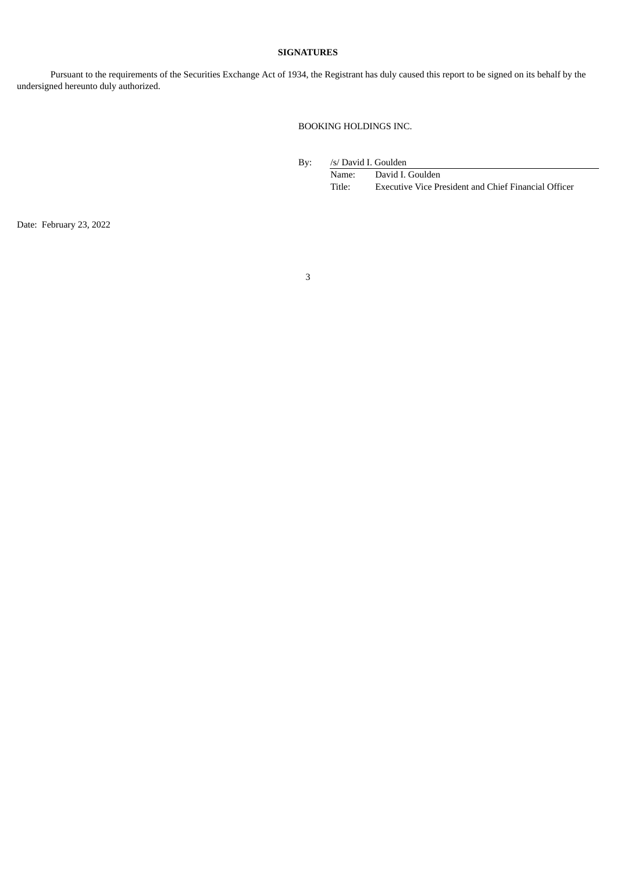# **SIGNATURES**

Pursuant to the requirements of the Securities Exchange Act of 1934, the Registrant has duly caused this report to be signed on its behalf by the undersigned hereunto duly authorized.

BOOKING HOLDINGS INC.

By: /s/ David I. Goulden

Name: David I. Goulden Title: Executive Vice President and Chief Financial Officer

Date: February 23, 2022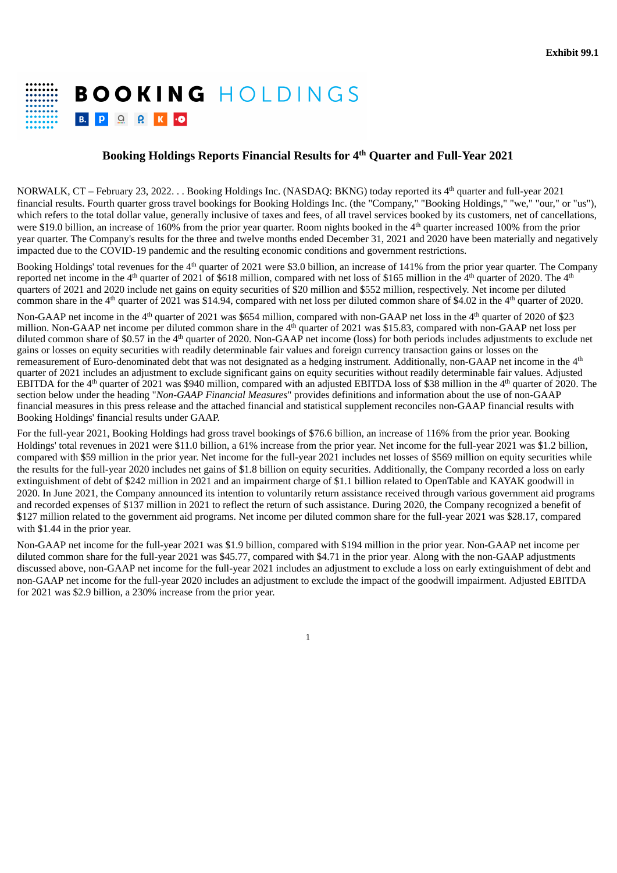# <span id="page-3-0"></span>**BOOKING HOLDINGS** B. P Q Q K O

# **Booking Holdings Reports Financial Results for 4 Quarter and Full-Year 2021 th**

NORWALK, CT – February 23, 2022. . . Booking Holdings Inc. (NASDAQ: BKNG) today reported its 4<sup>th</sup> quarter and full-year 2021 financial results. Fourth quarter gross travel bookings for Booking Holdings Inc. (the "Company," "Booking Holdings," "we," "our," or "us"), which refers to the total dollar value, generally inclusive of taxes and fees, of all travel services booked by its customers, net of cancellations, were \$19.0 billion, an increase of 160% from the prior year quarter. Room nights booked in the  $4<sup>th</sup>$  quarter increased 100% from the prior year quarter. The Company's results for the three and twelve months ended December 31, 2021 and 2020 have been materially and negatively impacted due to the COVID-19 pandemic and the resulting economic conditions and government restrictions.

Booking Holdings' total revenues for the  $4<sup>th</sup>$  quarter of 2021 were \$3.0 billion, an increase of 141% from the prior year quarter. The Company reported net income in the 4<sup>th</sup> quarter of 2021 of \$618 million, compared with net loss of \$165 million in the 4<sup>th</sup> quarter of 2020. The 4<sup>th</sup> quarters of 2021 and 2020 include net gains on equity securities of \$20 million and \$552 million, respectively. Net income per diluted common share in the  $4<sup>th</sup>$  quarter of 2021 was \$14.94, compared with net loss per diluted common share of \$4.02 in the  $4<sup>th</sup>$  quarter of 2020.

Non-GAAP net income in the  $4<sup>th</sup>$  quarter of 2021 was \$654 million, compared with non-GAAP net loss in the  $4<sup>th</sup>$  quarter of 2020 of \$23 million. Non-GAAP net income per diluted common share in the  $4<sup>th</sup>$  quarter of 2021 was \$15.83, compared with non-GAAP net loss per diluted common share of \$0.57 in the  $4<sup>th</sup>$  quarter of 2020. Non-GAAP net income (loss) for both periods includes adjustments to exclude net gains or losses on equity securities with readily determinable fair values and foreign currency transaction gains or losses on the remeasurement of Euro-denominated debt that was not designated as a hedging instrument. Additionally, non-GAAP net income in the  $4<sup>th</sup>$ quarter of 2021 includes an adjustment to exclude significant gains on equity securities without readily determinable fair values. Adjusted EBITDA for the 4<sup>th</sup> quarter of 2021 was \$940 million, compared with an adjusted EBITDA loss of \$38 million in the 4<sup>th</sup> quarter of 2020. The section below under the heading "*Non-GAAP Financial Measures*" provides definitions and information about the use of non-GAAP financial measures in this press release and the attached financial and statistical supplement reconciles non-GAAP financial results with Booking Holdings' financial results under GAAP.

For the full-year 2021, Booking Holdings had gross travel bookings of \$76.6 billion, an increase of 116% from the prior year. Booking Holdings' total revenues in 2021 were \$11.0 billion, a 61% increase from the prior year. Net income for the full-year 2021 was \$1.2 billion, compared with \$59 million in the prior year. Net income for the full-year 2021 includes net losses of \$569 million on equity securities while the results for the full-year 2020 includes net gains of \$1.8 billion on equity securities. Additionally, the Company recorded a loss on early extinguishment of debt of \$242 million in 2021 and an impairment charge of \$1.1 billion related to OpenTable and KAYAK goodwill in 2020. In June 2021, the Company announced its intention to voluntarily return assistance received through various government aid programs and recorded expenses of \$137 million in 2021 to reflect the return of such assistance. During 2020, the Company recognized a benefit of \$127 million related to the government aid programs. Net income per diluted common share for the full-year 2021 was \$28.17, compared with \$1.44 in the prior year.

Non-GAAP net income for the full-year 2021 was \$1.9 billion, compared with \$194 million in the prior year. Non-GAAP net income per diluted common share for the full-year 2021 was \$45.77, compared with \$4.71 in the prior year. Along with the non-GAAP adjustments discussed above, non-GAAP net income for the full-year 2021 includes an adjustment to exclude a loss on early extinguishment of debt and non-GAAP net income for the full-year 2020 includes an adjustment to exclude the impact of the goodwill impairment. Adjusted EBITDA for 2021 was \$2.9 billion, a 230% increase from the prior year.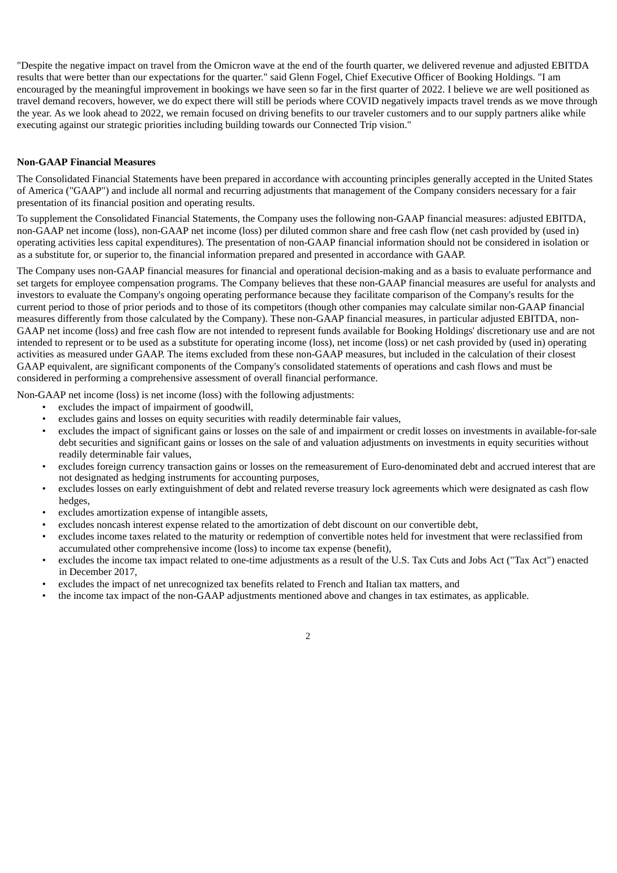"Despite the negative impact on travel from the Omicron wave at the end of the fourth quarter, we delivered revenue and adjusted EBITDA results that were better than our expectations for the quarter." said Glenn Fogel, Chief Executive Officer of Booking Holdings. "I am encouraged by the meaningful improvement in bookings we have seen so far in the first quarter of 2022. I believe we are well positioned as travel demand recovers, however, we do expect there will still be periods where COVID negatively impacts travel trends as we move through the year. As we look ahead to 2022, we remain focused on driving benefits to our traveler customers and to our supply partners alike while executing against our strategic priorities including building towards our Connected Trip vision."

## **Non-GAAP Financial Measures**

The Consolidated Financial Statements have been prepared in accordance with accounting principles generally accepted in the United States of America ("GAAP") and include all normal and recurring adjustments that management of the Company considers necessary for a fair presentation of its financial position and operating results.

To supplement the Consolidated Financial Statements, the Company uses the following non-GAAP financial measures: adjusted EBITDA, non-GAAP net income (loss), non-GAAP net income (loss) per diluted common share and free cash flow (net cash provided by (used in) operating activities less capital expenditures). The presentation of non-GAAP financial information should not be considered in isolation or as a substitute for, or superior to, the financial information prepared and presented in accordance with GAAP.

The Company uses non-GAAP financial measures for financial and operational decision-making and as a basis to evaluate performance and set targets for employee compensation programs. The Company believes that these non-GAAP financial measures are useful for analysts and investors to evaluate the Company's ongoing operating performance because they facilitate comparison of the Company's results for the current period to those of prior periods and to those of its competitors (though other companies may calculate similar non-GAAP financial measures differently from those calculated by the Company). These non-GAAP financial measures, in particular adjusted EBITDA, non-GAAP net income (loss) and free cash flow are not intended to represent funds available for Booking Holdings' discretionary use and are not intended to represent or to be used as a substitute for operating income (loss), net income (loss) or net cash provided by (used in) operating activities as measured under GAAP. The items excluded from these non-GAAP measures, but included in the calculation of their closest GAAP equivalent, are significant components of the Company's consolidated statements of operations and cash flows and must be considered in performing a comprehensive assessment of overall financial performance.

Non-GAAP net income (loss) is net income (loss) with the following adjustments:

- excludes the impact of impairment of goodwill,
- excludes gains and losses on equity securities with readily determinable fair values,
- excludes the impact of significant gains or losses on the sale of and impairment or credit losses on investments in available-for-sale debt securities and significant gains or losses on the sale of and valuation adjustments on investments in equity securities without readily determinable fair values,
- excludes foreign currency transaction gains or losses on the remeasurement of Euro-denominated debt and accrued interest that are not designated as hedging instruments for accounting purposes,
- excludes losses on early extinguishment of debt and related reverse treasury lock agreements which were designated as cash flow hedges,
- excludes amortization expense of intangible assets,
- excludes noncash interest expense related to the amortization of debt discount on our convertible debt,
- excludes income taxes related to the maturity or redemption of convertible notes held for investment that were reclassified from accumulated other comprehensive income (loss) to income tax expense (benefit),
- excludes the income tax impact related to one-time adjustments as a result of the U.S. Tax Cuts and Jobs Act ("Tax Act") enacted in December 2017,
- excludes the impact of net unrecognized tax benefits related to French and Italian tax matters, and
- the income tax impact of the non-GAAP adjustments mentioned above and changes in tax estimates, as applicable.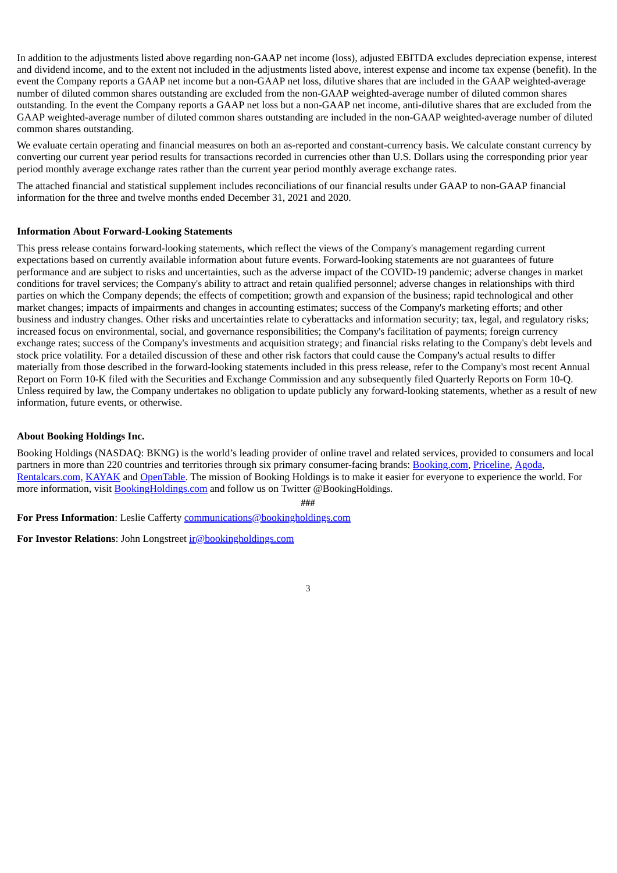In addition to the adjustments listed above regarding non-GAAP net income (loss), adjusted EBITDA excludes depreciation expense, interest and dividend income, and to the extent not included in the adjustments listed above, interest expense and income tax expense (benefit). In the event the Company reports a GAAP net income but a non-GAAP net loss, dilutive shares that are included in the GAAP weighted-average number of diluted common shares outstanding are excluded from the non-GAAP weighted-average number of diluted common shares outstanding. In the event the Company reports a GAAP net loss but a non-GAAP net income, anti-dilutive shares that are excluded from the GAAP weighted-average number of diluted common shares outstanding are included in the non-GAAP weighted-average number of diluted common shares outstanding.

We evaluate certain operating and financial measures on both an as-reported and constant-currency basis. We calculate constant currency by converting our current year period results for transactions recorded in currencies other than U.S. Dollars using the corresponding prior year period monthly average exchange rates rather than the current year period monthly average exchange rates.

The attached financial and statistical supplement includes reconciliations of our financial results under GAAP to non-GAAP financial information for the three and twelve months ended December 31, 2021 and 2020.

#### **Information About Forward-Looking Statements**

This press release contains forward-looking statements, which reflect the views of the Company's management regarding current expectations based on currently available information about future events. Forward-looking statements are not guarantees of future performance and are subject to risks and uncertainties, such as the adverse impact of the COVID-19 pandemic; adverse changes in market conditions for travel services; the Company's ability to attract and retain qualified personnel; adverse changes in relationships with third parties on which the Company depends; the effects of competition; growth and expansion of the business; rapid technological and other market changes; impacts of impairments and changes in accounting estimates; success of the Company's marketing efforts; and other business and industry changes. Other risks and uncertainties relate to cyberattacks and information security; tax, legal, and regulatory risks; increased focus on environmental, social, and governance responsibilities; the Company's facilitation of payments; foreign currency exchange rates; success of the Company's investments and acquisition strategy; and financial risks relating to the Company's debt levels and stock price volatility. For a detailed discussion of these and other risk factors that could cause the Company's actual results to differ materially from those described in the forward-looking statements included in this press release, refer to the Company's most recent Annual Report on Form 10-K filed with the Securities and Exchange Commission and any subsequently filed Quarterly Reports on Form 10-Q. Unless required by law, the Company undertakes no obligation to update publicly any forward-looking statements, whether as a result of new information, future events, or otherwise.

## **About Booking Holdings Inc.**

Booking Holdings (NASDAQ: BKNG) is the world's leading provider of online travel and related services, provided to consumers and local partners in more than 220 countries and territories through six primary consumer-facing brands: Booking.com, Priceline, Agoda, Rentalcars.com, KAYAK and OpenTable. The mission of Booking Holdings is to make it easier for everyone to experience the world. For more information, visit BookingHoldings.com and follow us on Twitter @BookingHoldings.

**###**

**For Press Information**: Leslie Cafferty communications@bookingholdings.com

**For Investor Relations:** John Longstreet  $\text{ir}(\textcircled{p} \text{booking} \text{holdings.com})$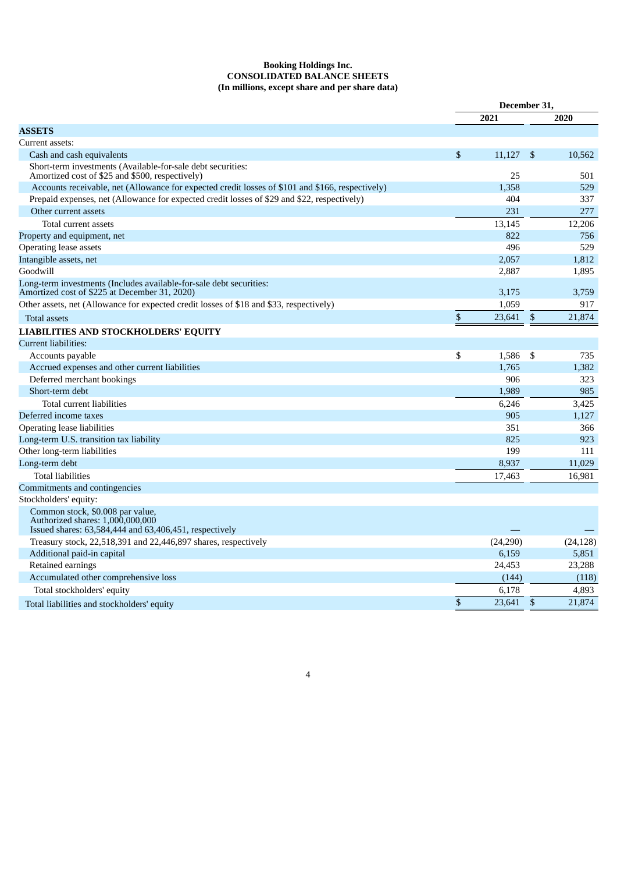#### **Booking Holdings Inc. CONSOLIDATED BALANCE SHEETS (In millions, except share and per share data)**

| 2021<br>2020<br><b>ASSETS</b><br>Current assets:<br>$\mathbb{S}$<br>11.127<br>\$<br>10,562<br>Cash and cash equivalents<br>Short-term investments (Available-for-sale debt securities:<br>Amortized cost of \$25 and \$500, respectively)<br>25<br>501<br>Accounts receivable, net (Allowance for expected credit losses of \$101 and \$166, respectively)<br>1,358<br>529<br>Prepaid expenses, net (Allowance for expected credit losses of \$29 and \$22, respectively)<br>404<br>337<br>231<br>277<br>Other current assets<br>Total current assets<br>13,145<br>12,206<br>822<br>Property and equipment, net<br>756<br><b>Operating lease assets</b><br>496<br>529<br>Intangible assets, net<br>2,057<br>1,812<br>Goodwill<br>2,887<br>1,895<br>Long-term investments (Includes available-for-sale debt securities:<br>Amortized cost of \$225 at December 31, 2020)<br>3,175<br>3,759<br>Other assets, net (Allowance for expected credit losses of \$18 and \$33, respectively)<br>1,059<br>917<br>\$<br>\$<br>23,641<br>21,874<br>Total assets<br>LIABILITIES AND STOCKHOLDERS' EQUITY<br>Current liabilities:<br>\$<br>\$<br>Accounts payable<br>1,586<br>735 |
|----------------------------------------------------------------------------------------------------------------------------------------------------------------------------------------------------------------------------------------------------------------------------------------------------------------------------------------------------------------------------------------------------------------------------------------------------------------------------------------------------------------------------------------------------------------------------------------------------------------------------------------------------------------------------------------------------------------------------------------------------------------------------------------------------------------------------------------------------------------------------------------------------------------------------------------------------------------------------------------------------------------------------------------------------------------------------------------------------------------------------------------------------------------------|
|                                                                                                                                                                                                                                                                                                                                                                                                                                                                                                                                                                                                                                                                                                                                                                                                                                                                                                                                                                                                                                                                                                                                                                      |
|                                                                                                                                                                                                                                                                                                                                                                                                                                                                                                                                                                                                                                                                                                                                                                                                                                                                                                                                                                                                                                                                                                                                                                      |
|                                                                                                                                                                                                                                                                                                                                                                                                                                                                                                                                                                                                                                                                                                                                                                                                                                                                                                                                                                                                                                                                                                                                                                      |
|                                                                                                                                                                                                                                                                                                                                                                                                                                                                                                                                                                                                                                                                                                                                                                                                                                                                                                                                                                                                                                                                                                                                                                      |
|                                                                                                                                                                                                                                                                                                                                                                                                                                                                                                                                                                                                                                                                                                                                                                                                                                                                                                                                                                                                                                                                                                                                                                      |
|                                                                                                                                                                                                                                                                                                                                                                                                                                                                                                                                                                                                                                                                                                                                                                                                                                                                                                                                                                                                                                                                                                                                                                      |
|                                                                                                                                                                                                                                                                                                                                                                                                                                                                                                                                                                                                                                                                                                                                                                                                                                                                                                                                                                                                                                                                                                                                                                      |
|                                                                                                                                                                                                                                                                                                                                                                                                                                                                                                                                                                                                                                                                                                                                                                                                                                                                                                                                                                                                                                                                                                                                                                      |
|                                                                                                                                                                                                                                                                                                                                                                                                                                                                                                                                                                                                                                                                                                                                                                                                                                                                                                                                                                                                                                                                                                                                                                      |
|                                                                                                                                                                                                                                                                                                                                                                                                                                                                                                                                                                                                                                                                                                                                                                                                                                                                                                                                                                                                                                                                                                                                                                      |
|                                                                                                                                                                                                                                                                                                                                                                                                                                                                                                                                                                                                                                                                                                                                                                                                                                                                                                                                                                                                                                                                                                                                                                      |
|                                                                                                                                                                                                                                                                                                                                                                                                                                                                                                                                                                                                                                                                                                                                                                                                                                                                                                                                                                                                                                                                                                                                                                      |
|                                                                                                                                                                                                                                                                                                                                                                                                                                                                                                                                                                                                                                                                                                                                                                                                                                                                                                                                                                                                                                                                                                                                                                      |
|                                                                                                                                                                                                                                                                                                                                                                                                                                                                                                                                                                                                                                                                                                                                                                                                                                                                                                                                                                                                                                                                                                                                                                      |
|                                                                                                                                                                                                                                                                                                                                                                                                                                                                                                                                                                                                                                                                                                                                                                                                                                                                                                                                                                                                                                                                                                                                                                      |
|                                                                                                                                                                                                                                                                                                                                                                                                                                                                                                                                                                                                                                                                                                                                                                                                                                                                                                                                                                                                                                                                                                                                                                      |
|                                                                                                                                                                                                                                                                                                                                                                                                                                                                                                                                                                                                                                                                                                                                                                                                                                                                                                                                                                                                                                                                                                                                                                      |
|                                                                                                                                                                                                                                                                                                                                                                                                                                                                                                                                                                                                                                                                                                                                                                                                                                                                                                                                                                                                                                                                                                                                                                      |
|                                                                                                                                                                                                                                                                                                                                                                                                                                                                                                                                                                                                                                                                                                                                                                                                                                                                                                                                                                                                                                                                                                                                                                      |
| 1,765<br>1,382<br>Accrued expenses and other current liabilities                                                                                                                                                                                                                                                                                                                                                                                                                                                                                                                                                                                                                                                                                                                                                                                                                                                                                                                                                                                                                                                                                                     |
| 906<br>323<br>Deferred merchant bookings                                                                                                                                                                                                                                                                                                                                                                                                                                                                                                                                                                                                                                                                                                                                                                                                                                                                                                                                                                                                                                                                                                                             |
| 985<br>Short-term debt<br>1,989                                                                                                                                                                                                                                                                                                                                                                                                                                                                                                                                                                                                                                                                                                                                                                                                                                                                                                                                                                                                                                                                                                                                      |
| Total current liabilities<br>6,246<br>3.425                                                                                                                                                                                                                                                                                                                                                                                                                                                                                                                                                                                                                                                                                                                                                                                                                                                                                                                                                                                                                                                                                                                          |
| Deferred income taxes<br>905<br>1,127                                                                                                                                                                                                                                                                                                                                                                                                                                                                                                                                                                                                                                                                                                                                                                                                                                                                                                                                                                                                                                                                                                                                |
| <b>Operating lease liabilities</b><br>351<br>366                                                                                                                                                                                                                                                                                                                                                                                                                                                                                                                                                                                                                                                                                                                                                                                                                                                                                                                                                                                                                                                                                                                     |
| Long-term U.S. transition tax liability<br>825<br>923                                                                                                                                                                                                                                                                                                                                                                                                                                                                                                                                                                                                                                                                                                                                                                                                                                                                                                                                                                                                                                                                                                                |
| 199<br>Other long-term liabilities<br>111                                                                                                                                                                                                                                                                                                                                                                                                                                                                                                                                                                                                                                                                                                                                                                                                                                                                                                                                                                                                                                                                                                                            |
| Long-term debt<br>8,937<br>11,029                                                                                                                                                                                                                                                                                                                                                                                                                                                                                                                                                                                                                                                                                                                                                                                                                                                                                                                                                                                                                                                                                                                                    |
| 17,463<br>16,981<br><b>Total liabilities</b>                                                                                                                                                                                                                                                                                                                                                                                                                                                                                                                                                                                                                                                                                                                                                                                                                                                                                                                                                                                                                                                                                                                         |
| Commitments and contingencies                                                                                                                                                                                                                                                                                                                                                                                                                                                                                                                                                                                                                                                                                                                                                                                                                                                                                                                                                                                                                                                                                                                                        |
| Stockholders' equity:                                                                                                                                                                                                                                                                                                                                                                                                                                                                                                                                                                                                                                                                                                                                                                                                                                                                                                                                                                                                                                                                                                                                                |
| Common stock, \$0.008 par value,<br>Authorized shares: 1,000,000,000<br>Issued shares: 63,584,444 and 63,406,451, respectively                                                                                                                                                                                                                                                                                                                                                                                                                                                                                                                                                                                                                                                                                                                                                                                                                                                                                                                                                                                                                                       |
| Treasury stock, 22,518,391 and 22,446,897 shares, respectively<br>(24, 290)<br>(24, 128)                                                                                                                                                                                                                                                                                                                                                                                                                                                                                                                                                                                                                                                                                                                                                                                                                                                                                                                                                                                                                                                                             |
| Additional paid-in capital<br>6,159<br>5,851                                                                                                                                                                                                                                                                                                                                                                                                                                                                                                                                                                                                                                                                                                                                                                                                                                                                                                                                                                                                                                                                                                                         |
| Retained earnings<br>24,453<br>23,288                                                                                                                                                                                                                                                                                                                                                                                                                                                                                                                                                                                                                                                                                                                                                                                                                                                                                                                                                                                                                                                                                                                                |
| Accumulated other comprehensive loss<br>(144)<br>(118)                                                                                                                                                                                                                                                                                                                                                                                                                                                                                                                                                                                                                                                                                                                                                                                                                                                                                                                                                                                                                                                                                                               |
| 6,178<br>4.893<br>Total stockholders' equity                                                                                                                                                                                                                                                                                                                                                                                                                                                                                                                                                                                                                                                                                                                                                                                                                                                                                                                                                                                                                                                                                                                         |
| $\$$<br>21,874<br>23,641<br>\$<br>Total liabilities and stockholders' equity                                                                                                                                                                                                                                                                                                                                                                                                                                                                                                                                                                                                                                                                                                                                                                                                                                                                                                                                                                                                                                                                                         |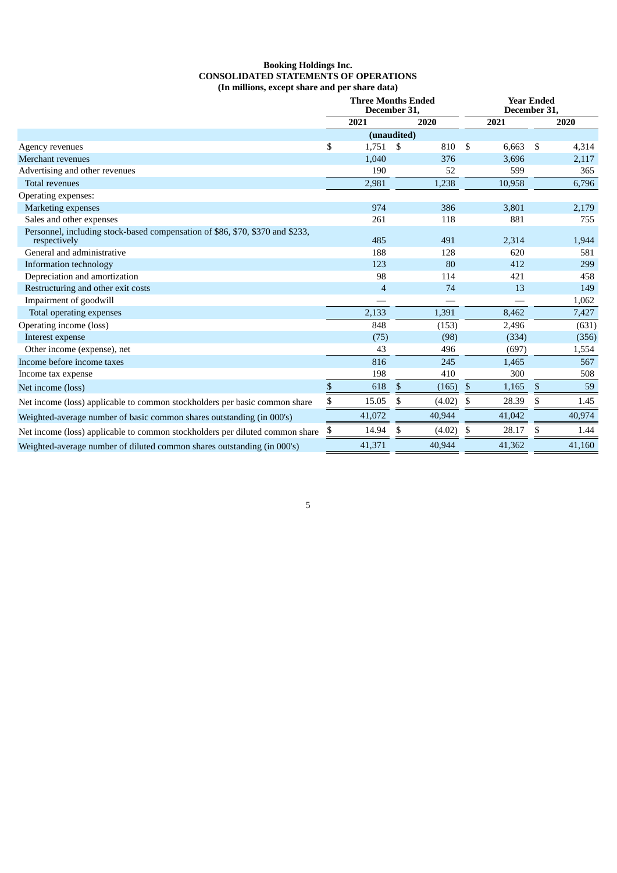#### **Booking Holdings Inc. CONSOLIDATED STATEMENTS OF OPERATIONS (In millions, except share and per share data)**

|                                                                                               |    | <b>Three Months Ended</b> | December 31, |        |    | <b>Year Ended</b><br>December 31, |     |        |
|-----------------------------------------------------------------------------------------------|----|---------------------------|--------------|--------|----|-----------------------------------|-----|--------|
|                                                                                               |    | 2021                      |              | 2020   |    | 2021                              |     | 2020   |
|                                                                                               |    | (unaudited)               |              |        |    |                                   |     |        |
| Agency revenues                                                                               | \$ | 1,751                     | \$           | 810    | \$ | 6,663                             | \$  | 4,314  |
| Merchant revenues                                                                             |    | 1,040                     |              | 376    |    | 3,696                             |     | 2,117  |
| Advertising and other revenues                                                                |    | 190                       |              | 52     |    | 599                               |     | 365    |
| <b>Total revenues</b>                                                                         |    | 2,981                     |              | 1,238  |    | 10,958                            |     | 6,796  |
| Operating expenses:                                                                           |    |                           |              |        |    |                                   |     |        |
| <b>Marketing expenses</b>                                                                     |    | 974                       |              | 386    |    | 3,801                             |     | 2,179  |
| Sales and other expenses                                                                      |    | 261                       |              | 118    |    | 881                               |     | 755    |
| Personnel, including stock-based compensation of \$86, \$70, \$370 and \$233,<br>respectively |    | 485                       |              | 491    |    | 2,314                             |     | 1,944  |
| General and administrative                                                                    |    | 188                       |              | 128    |    | 620                               |     | 581    |
| Information technology                                                                        |    | 123                       |              | 80     |    | 412                               |     | 299    |
| Depreciation and amortization                                                                 |    | 98                        |              | 114    |    | 421                               |     | 458    |
| Restructuring and other exit costs                                                            |    | 4                         |              | 74     |    | 13                                |     | 149    |
| Impairment of goodwill                                                                        |    |                           |              |        |    |                                   |     | 1,062  |
| Total operating expenses                                                                      |    | 2,133                     |              | 1,391  |    | 8,462                             |     | 7,427  |
| Operating income (loss)                                                                       |    | 848                       |              | (153)  |    | 2,496                             |     | (631)  |
| Interest expense                                                                              |    | (75)                      |              | (98)   |    | (334)                             |     | (356)  |
| Other income (expense), net                                                                   |    | 43                        |              | 496    |    | (697)                             |     | 1,554  |
| Income before income taxes                                                                    |    | 816                       |              | 245    |    | 1,465                             |     | 567    |
| Income tax expense                                                                            |    | 198                       |              | 410    |    | 300                               |     | 508    |
| Net income (loss)                                                                             | \$ | 618                       | \$           | (165)  | \$ | 1,165                             | \$  | 59     |
| Net income (loss) applicable to common stockholders per basic common share                    | \$ | 15.05                     | \$           | (4.02) | \$ | 28.39                             | \$  | 1.45   |
| Weighted-average number of basic common shares outstanding (in 000's)                         |    | 41,072                    |              | 40,944 |    | 41,042                            |     | 40,974 |
| Net income (loss) applicable to common stockholders per diluted common share                  | \$ | 14.94                     | \$           | (4.02) | S  | 28.17                             | \$. | 1.44   |
| Weighted-average number of diluted common shares outstanding (in 000's)                       |    | 41,371                    |              | 40,944 |    | 41,362                            |     | 41,160 |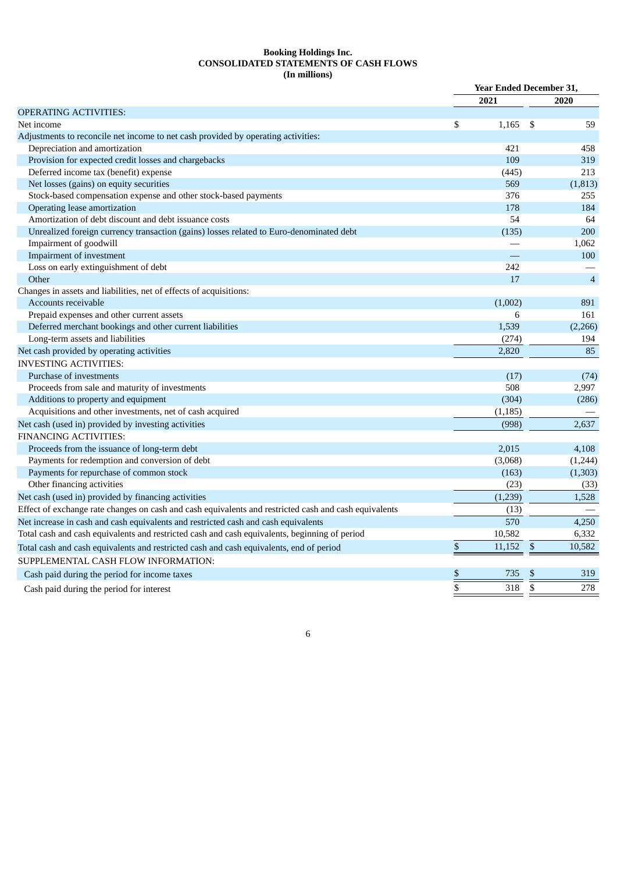#### **Booking Holdings Inc. CONSOLIDATED STATEMENTS OF CASH FLOWS (In millions)**

|                                                                                                       |    | <b>Year Ended December 31,</b> |              |                |
|-------------------------------------------------------------------------------------------------------|----|--------------------------------|--------------|----------------|
|                                                                                                       |    | 2021                           |              | 2020           |
| <b>OPERATING ACTIVITIES:</b>                                                                          |    |                                |              |                |
| Net income                                                                                            | \$ | 1,165                          | \$           | 59             |
| Adjustments to reconcile net income to net cash provided by operating activities:                     |    |                                |              |                |
| Depreciation and amortization                                                                         |    | 421                            |              | 458            |
| Provision for expected credit losses and chargebacks                                                  |    | 109                            |              | 319            |
| Deferred income tax (benefit) expense                                                                 |    | (445)                          |              | 213            |
| Net losses (gains) on equity securities                                                               |    | 569                            |              | (1,813)        |
| Stock-based compensation expense and other stock-based payments                                       |    | 376                            |              | 255            |
| Operating lease amortization                                                                          |    | 178                            |              | 184            |
| Amortization of debt discount and debt issuance costs                                                 |    | 54                             |              | 64             |
| Unrealized foreign currency transaction (gains) losses related to Euro-denominated debt               |    | (135)                          |              | 200            |
| Impairment of goodwill                                                                                |    |                                |              | 1,062          |
| Impairment of investment                                                                              |    |                                |              | 100            |
| Loss on early extinguishment of debt                                                                  |    | 242                            |              |                |
| Other                                                                                                 |    | 17                             |              | $\overline{4}$ |
| Changes in assets and liabilities, net of effects of acquisitions:                                    |    |                                |              |                |
| Accounts receivable                                                                                   |    | (1,002)                        |              | 891            |
| Prepaid expenses and other current assets                                                             |    | 6                              |              | 161            |
| Deferred merchant bookings and other current liabilities                                              |    | 1,539                          |              | (2,266)        |
| Long-term assets and liabilities                                                                      |    | (274)                          |              | 194            |
| Net cash provided by operating activities                                                             |    | 2,820                          |              | 85             |
| <b>INVESTING ACTIVITIES:</b>                                                                          |    |                                |              |                |
| Purchase of investments                                                                               |    | (17)                           |              | (74)           |
| Proceeds from sale and maturity of investments                                                        |    | 508                            |              | 2,997          |
| Additions to property and equipment                                                                   |    | (304)                          |              | (286)          |
| Acquisitions and other investments, net of cash acquired                                              |    | (1, 185)                       |              |                |
| Net cash (used in) provided by investing activities                                                   |    | (998)                          |              | 2.637          |
| <b>FINANCING ACTIVITIES:</b>                                                                          |    |                                |              |                |
| Proceeds from the issuance of long-term debt                                                          |    | 2,015                          |              | 4,108          |
| Payments for redemption and conversion of debt                                                        |    | (3,068)                        |              | (1,244)        |
| Payments for repurchase of common stock                                                               |    | (163)                          |              | (1, 303)       |
| Other financing activities                                                                            |    | (23)                           |              | (33)           |
| Net cash (used in) provided by financing activities                                                   |    | (1,239)                        |              | 1,528          |
| Effect of exchange rate changes on cash and cash equivalents and restricted cash and cash equivalents |    | (13)                           |              |                |
| Net increase in cash and cash equivalents and restricted cash and cash equivalents                    |    | 570                            |              | 4,250          |
| Total cash and cash equivalents and restricted cash and cash equivalents, beginning of period         |    | 10,582                         |              | 6,332          |
| Total cash and cash equivalents and restricted cash and cash equivalents, end of period               | \$ | 11,152                         | $\mathbb{S}$ | 10,582         |
| SUPPLEMENTAL CASH FLOW INFORMATION:                                                                   |    |                                |              |                |
|                                                                                                       | \$ | 735                            | \$           | 319            |
| Cash paid during the period for income taxes                                                          |    |                                |              |                |
| Cash paid during the period for interest                                                              | \$ | 318                            | $\mathbb{S}$ | 278            |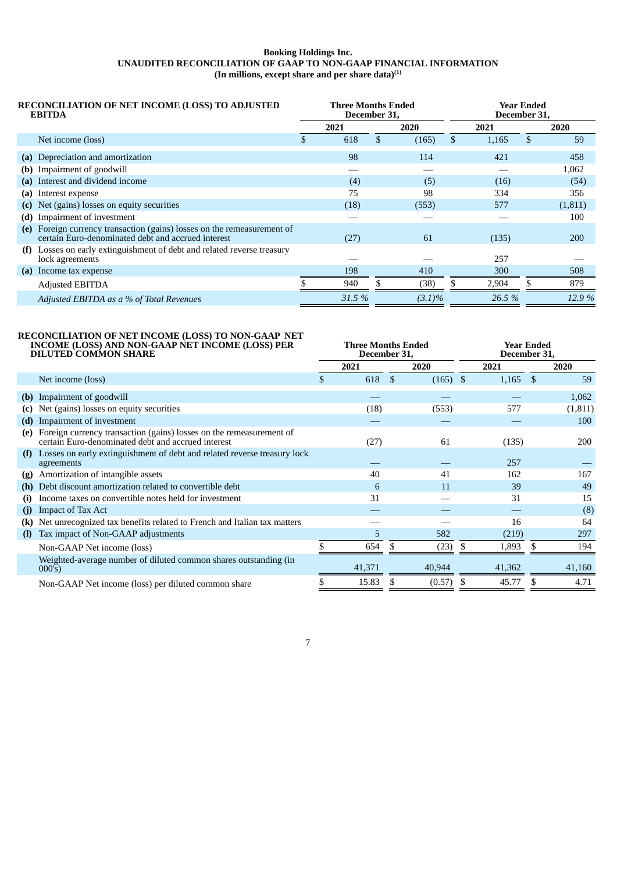#### **Booking Holdings Inc. UNAUDITED RECONCILIATION OF GAAP TO NON-GAAP FINANCIAL INFORMATION (In millions, except share and per share data) (1)**

|     | <b>RECONCILIATION OF NET INCOME (LOSS) TO ADJUSTED</b><br><b>EBITDA</b>                                                   | <b>Three Months Ended</b><br>December 31, |    |           | Year Ended<br>December 31, |        |     |            |  |  |  |
|-----|---------------------------------------------------------------------------------------------------------------------------|-------------------------------------------|----|-----------|----------------------------|--------|-----|------------|--|--|--|
|     |                                                                                                                           | 2021                                      |    | 2020      |                            | 2021   |     | 2020       |  |  |  |
|     | Net income (loss)                                                                                                         | 618                                       | \$ | (165)     | \$                         | 1,165  | \$  | 59         |  |  |  |
|     | (a) Depreciation and amortization                                                                                         | 98                                        |    | 114       |                            | 421    |     | 458        |  |  |  |
|     | (b) Impairment of goodwill                                                                                                |                                           |    |           |                            |        |     | 1,062      |  |  |  |
|     | (a) Interest and dividend income                                                                                          | (4)                                       |    | (5)       |                            | (16)   |     | (54)       |  |  |  |
| (a) | Interest expense                                                                                                          | 75                                        |    | 98        |                            | 334    |     | 356        |  |  |  |
|     | (c) Net (gains) losses on equity securities                                                                               | (18)                                      |    | (553)     |                            | 577    |     | (1,811)    |  |  |  |
| (d) | Impairment of investment                                                                                                  |                                           |    |           |                            |        |     | 100        |  |  |  |
| (e) | Foreign currency transaction (gains) losses on the remeasurement of<br>certain Euro-denominated debt and accrued interest | (27)                                      |    | 61        |                            | (135)  |     | <b>200</b> |  |  |  |
| (f) | Losses on early extinguishment of debt and related reverse treasury<br>lock agreements                                    |                                           |    |           |                            | 257    |     |            |  |  |  |
| (a) | Income tax expense                                                                                                        | 198                                       |    | 410       |                            | 300    |     | 508        |  |  |  |
|     | Adjusted EBITDA                                                                                                           | 940                                       | £. | (38)      | \$                         | 2,904  | \$. | 879        |  |  |  |
|     | Adjusted EBITDA as a % of Total Revenues                                                                                  | 31.5%                                     |    | $(3.1)\%$ |                            | 26.5 % |     | 12.9%      |  |  |  |

# **RECONCILIATION OF NET INCOME (LOSS) TO NON-GAAP NET INCOME (LOSS) AND NON-GAAP NET INCOME (LOSS) PER**

|              | INCOME (LOSS) AND NON-GAAP NET INCOME (LOSS) PER<br><b>DILUTED COMMON SHARE</b>                                           |     | <b>Three Months Ended</b><br>December 31, |    |            | <b>Year Ended</b><br>December 31, |            |     |         |  |  |
|--------------|---------------------------------------------------------------------------------------------------------------------------|-----|-------------------------------------------|----|------------|-----------------------------------|------------|-----|---------|--|--|
|              |                                                                                                                           |     | 2021                                      |    | 2020       |                                   | 2021       |     | 2020    |  |  |
|              | Net income (loss)                                                                                                         | \$. | 618                                       | \$ | $(165)$ \$ |                                   | $1,165$ \$ |     | 59      |  |  |
| (b)          | Impairment of goodwill                                                                                                    |     |                                           |    |            |                                   |            |     | 1,062   |  |  |
| (c)          | Net (gains) losses on equity securities                                                                                   |     | (18)                                      |    | (553)      |                                   | 577        |     | (1,811) |  |  |
| (d)          | Impairment of investment                                                                                                  |     |                                           |    |            |                                   |            |     | 100     |  |  |
| (e)          | Foreign currency transaction (gains) losses on the remeasurement of<br>certain Euro-denominated debt and accrued interest |     | (27)                                      |    | 61         |                                   | (135)      |     | 200     |  |  |
| (f)          | Losses on early extinguishment of debt and related reverse treasury lock<br>agreements                                    |     |                                           |    |            |                                   | 257        |     |         |  |  |
| (g)          | Amortization of intangible assets                                                                                         |     | 40                                        |    | 41         |                                   | 162        |     | 167     |  |  |
| (h)          | Debt discount amortization related to convertible debt                                                                    |     | 6                                         |    | 11         |                                   | 39         |     | 49      |  |  |
| (i)          | Income taxes on convertible notes held for investment                                                                     |     | 31                                        |    |            |                                   | 31         |     | 15      |  |  |
| (i)          | <b>Impact of Tax Act</b>                                                                                                  |     |                                           |    |            |                                   |            |     | (8)     |  |  |
| (k)          | Net unrecognized tax benefits related to French and Italian tax matters                                                   |     |                                           |    |            |                                   | 16         |     | 64      |  |  |
| $\mathbf{I}$ | Tax impact of Non-GAAP adjustments                                                                                        |     | 5                                         |    | 582        |                                   | (219)      |     | 297     |  |  |
|              | Non-GAAP Net income (loss)                                                                                                |     | 654                                       | S. | (23)       |                                   | 1,893      |     | 194     |  |  |
|              | Weighted-average number of diluted common shares outstanding (in<br>000's)                                                |     | 41,371                                    |    | 40,944     |                                   | 41,362     |     | 41,160  |  |  |
|              | Non-GAAP Net income (loss) per diluted common share                                                                       |     | 15.83                                     | £. | (0.57)     | -\$                               | 45.77      | \$. | 4.71    |  |  |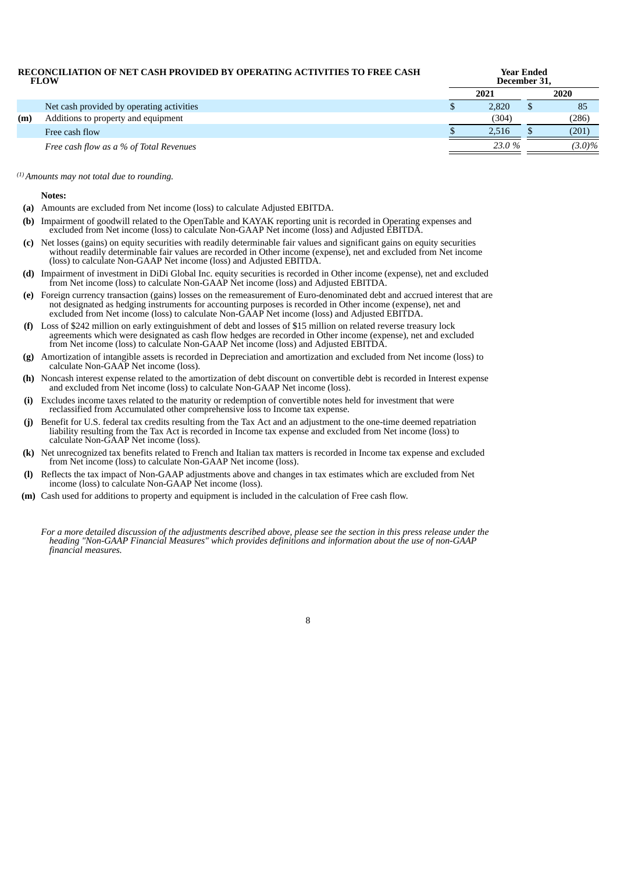#### **RECONCILIATION OF NET CASH PROVIDED BY OPERATING ACTIVITIES TO FREE CASH FLOW Year Ended December 31, 2021 2020** Net cash provided by operating activities **by a structure of the structure of the structure of the structure of the structure of the structure of the structure of the structure of the structure of the structure of the stru (m)** Additions to property and equipment (304) (286)

| Free cash<br>tlow                                          | - 12 | AA  | (201  |
|------------------------------------------------------------|------|-----|-------|
| $\cdot$ flow as a % .<br>Free cash<br>of Total<br>Revenues |      | ιn. | $9\%$ |

#### *Amounts may not total due to rounding. (1)*

#### **Notes:**

- **(a)** Amounts are excluded from Net income (loss) to calculate Adjusted EBITDA.
- **(b)** Impairment of goodwill related to the OpenTable and KAYAK reporting unit is recorded in Operating expenses and excluded from Net income (loss) to calculate Non-GAAP Net income (loss) and Adjusted EBITDA.
- **(c)** Net losses (gains) on equity securities with readily determinable fair values and significant gains on equity securities without readily determinable fair values are recorded in Other income (expense), net and excluded from Net income (loss) to calculate Non-GAAP Net income (loss) and Adjusted EBITDA.
- **(d)** Impairment of investment in DiDi Global Inc. equity securities is recorded in Other income (expense), net and excluded from Net income (loss) to calculate Non-GAAP Net income (loss) and Adjusted EBITDA.
- **(e)** Foreign currency transaction (gains) losses on the remeasurement of Euro-denominated debt and accrued interest that are not designated as hedging instruments for accounting purposes is recorded in Other income (expense), net and excluded from Net income (loss) to calculate Non-GAAP Net income (loss) and Adjusted EBITDA.
- **(f)** Loss of \$242 million on early extinguishment of debt and losses of \$15 million on related reverse treasury lock agreements which were designated as cash flow hedges are recorded in Other income (expense), net and excluded from Net income (loss) to calculate Non-GAAP Net income (loss) and Adjusted EBITDA.
- **(g)** Amortization of intangible assets is recorded in Depreciation and amortization and excluded from Net income (loss) to calculate Non-GAAP Net income (loss).
- **(h)** Noncash interest expense related to the amortization of debt discount on convertible debt is recorded in Interest expense and excluded from Net income (loss) to calculate Non-GAAP Net income (loss).
- **(i)** Excludes income taxes related to the maturity or redemption of convertible notes held for investment that were reclassified from Accumulated other comprehensive loss to Income tax expense.
- **(j)** Benefit for U.S. federal tax credits resulting from the Tax Act and an adjustment to the one-time deemed repatriation liability resulting from the Tax Act is recorded in Income tax expense and excluded from Net income (loss) to calculate Non-GAAP Net income (loss).
- **(k)** Net unrecognized tax benefits related to French and Italian tax matters is recorded in Income tax expense and excluded from Net income (loss) to calculate Non-GAAP Net income (loss).
- **(l)** Reflects the tax impact of Non-GAAP adjustments above and changes in tax estimates which are excluded from Net income (loss) to calculate Non-GAAP Net income (loss).
- **(m)** Cash used for additions to property and equipment is included in the calculation of Free cash flow.
	- For a more detailed discussion of the adjustments described above, please see the section in this press release under the *heading "Non-GAAP Financial Measures" which provides definitions and information about the use of non-GAAP financial measures.*